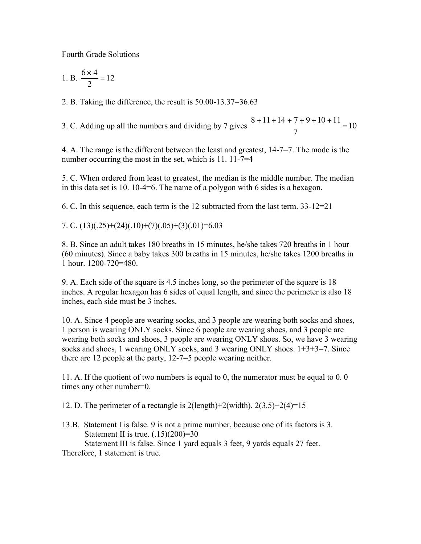Fourth Grade Solutions

1. B. 
$$
\frac{6 \times 4}{2} = 12
$$

2. B. Taking the difference, the result is 50.00-13.37=36.63

3. C. Adding up all the numbers and dividing by 7 gives  $\frac{8+11+14+7+9+10+11}{7}$  $\frac{1}{7}$  = 10

4. A. The range is the different between the least and greatest, 14-7=7. The mode is the number occurring the most in the set, which is 11. 11-7=4

5. C. When ordered from least to greatest, the median is the middle number. The median in this data set is 10. 10-4=6. The name of a polygon with 6 sides is a hexagon.

6. C. In this sequence, each term is the 12 subtracted from the last term. 33-12=21

7. C.  $(13)(.25)+(24)(.10)+(7)(.05)+(3)(.01)=6.03$ 

8. B. Since an adult takes 180 breaths in 15 minutes, he/she takes 720 breaths in 1 hour (60 minutes). Since a baby takes 300 breaths in 15 minutes, he/she takes 1200 breaths in 1 hour. 1200-720=480.

9. A. Each side of the square is 4.5 inches long, so the perimeter of the square is 18 inches. A regular hexagon has 6 sides of equal length, and since the perimeter is also 18 inches, each side must be 3 inches.

10. A. Since 4 people are wearing socks, and 3 people are wearing both socks and shoes, 1 person is wearing ONLY socks. Since 6 people are wearing shoes, and 3 people are wearing both socks and shoes, 3 people are wearing ONLY shoes. So, we have 3 wearing socks and shoes, 1 wearing ONLY socks, and 3 wearing ONLY shoes. 1+3+3=7. Since there are 12 people at the party, 12-7=5 people wearing neither.

11. A. If the quotient of two numbers is equal to 0, the numerator must be equal to 0. 0 times any other number=0.

12. D. The perimeter of a rectangle is  $2(\text{length})+2(\text{width})$ .  $2(3.5)+2(4)=15$ 

13.B. Statement I is false. 9 is not a prime number, because one of its factors is 3. Statement II is true.  $(.15)(200)=30$  Statement III is false. Since 1 yard equals 3 feet, 9 yards equals 27 feet. Therefore, 1 statement is true.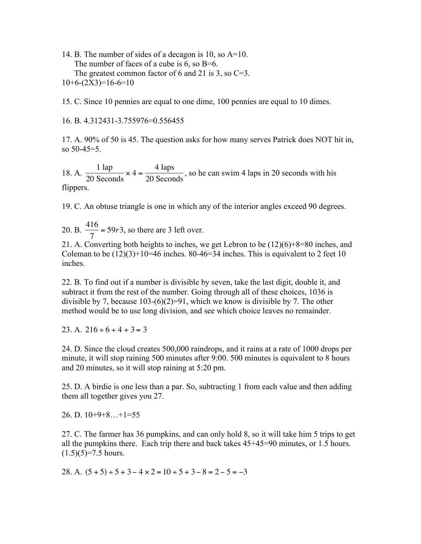14. B. The number of sides of a decagon is 10, so A=10. The number of faces of a cube is  $6$ , so B= $6$ . The greatest common factor of 6 and 21 is 3, so  $C=3$ .  $10+6-(2X3)=16-6=10$ 

15. C. Since 10 pennies are equal to one dime, 100 pennies are equal to 10 dimes.

16. B. 4.312431-3.755976=0.556455

17. A. 90% of 50 is 45. The question asks for how many serves Patrick does NOT hit in, so 50-45=5.

18. A.  $\frac{1 \text{ lap}}{20 \text{ g}}$ 20 Seconds  $\times$  4 =  $\frac{4 \text{ laps}}{20 \text{ seconds}}$ , so he can swim 4 laps in 20 seconds with his flippers.

19. C. An obtuse triangle is one in which any of the interior angles exceed 90 degrees.

20. B.  $\frac{416}{7}$  = 59*r*3, so there are 3 left over.

21. A. Converting both heights to inches, we get Lebron to be (12)(6)+8=80 inches, and Coleman to be  $(12)(3)+10=46$  inches. 80-46=34 inches. This is equivalent to 2 feet 10 inches.

22. B. To find out if a number is divisible by seven, take the last digit, double it, and subtract it from the rest of the number. Going through all of these choices, 1036 is divisible by 7, because  $103-(6)(2)=91$ , which we know is divisible by 7. The other method would be to use long division, and see which choice leaves no remainder.

23. A.  $216 \div 6 \div 4 \div 3 = 3$ 

24. D. Since the cloud creates 500,000 raindrops, and it rains at a rate of 1000 drops per minute, it will stop raining 500 minutes after 9:00. 500 minutes is equivalent to 8 hours and 20 minutes, so it will stop raining at 5:20 pm.

25. D. A birdie is one less than a par. So, subtracting 1 from each value and then adding them all together gives you 27.

26. D. 10+9+8…+1=55

27. C. The farmer has 36 pumpkins, and can only hold 8, so it will take him 5 trips to get all the pumpkins there. Each trip there and back takes 45+45=90 minutes, or 1.5 hours.  $(1.5)(5)=7.5$  hours.

28. A.  $(5 + 5) \div 5 + 3 - 4 \times 2 = 10 \div 5 + 3 - 8 = 2 - 5 = -3$